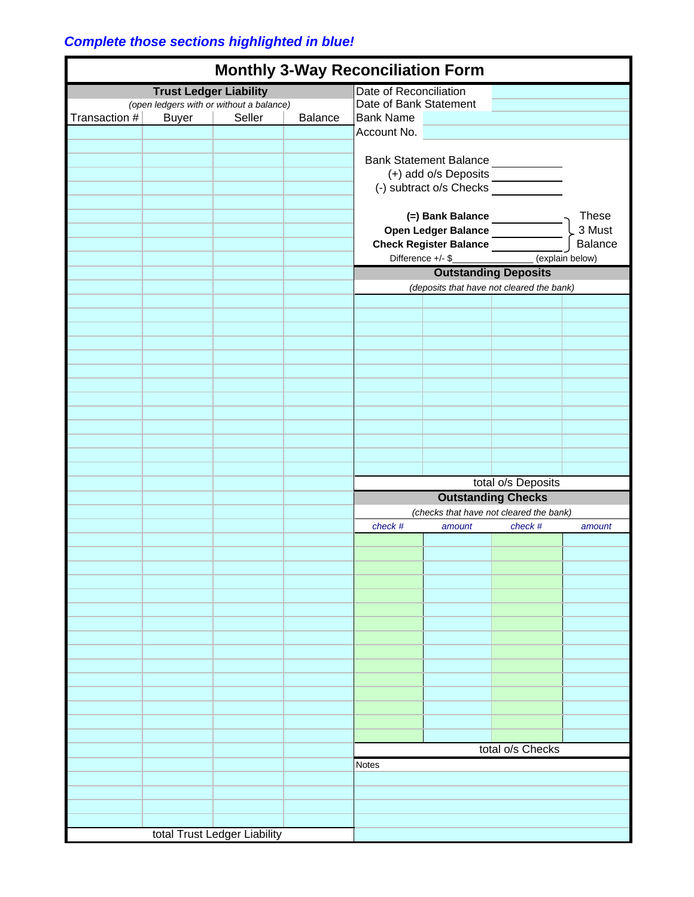## *Complete those sections highlighted in blue!*

| <b>Monthly 3-Way Reconciliation Form</b>                                  |              |        |                        |                                                                           |                    |                                                     |         |
|---------------------------------------------------------------------------|--------------|--------|------------------------|---------------------------------------------------------------------------|--------------------|-----------------------------------------------------|---------|
|                                                                           |              |        |                        | Date of Reconciliation                                                    |                    |                                                     |         |
| <b>Trust Ledger Liability</b><br>(open ledgers with or without a balance) |              |        | Date of Bank Statement |                                                                           |                    |                                                     |         |
| Transaction #                                                             | <b>Buyer</b> | Seller | Balance                | <b>Bank Name</b>                                                          |                    |                                                     |         |
|                                                                           |              |        |                        |                                                                           |                    |                                                     |         |
|                                                                           |              |        |                        | Account No.                                                               |                    |                                                     |         |
|                                                                           |              |        |                        |                                                                           |                    |                                                     |         |
|                                                                           |              |        |                        |                                                                           |                    |                                                     |         |
|                                                                           |              |        |                        | Bank Statement Balance<br>(+) add o/s Deposits<br>(-) subtract o/s Checks |                    |                                                     |         |
|                                                                           |              |        |                        |                                                                           |                    |                                                     |         |
|                                                                           |              |        |                        |                                                                           |                    |                                                     |         |
|                                                                           |              |        |                        |                                                                           |                    |                                                     |         |
|                                                                           |              |        |                        |                                                                           |                    | <b>These</b>                                        |         |
|                                                                           |              |        |                        |                                                                           |                    |                                                     | 3 Must  |
|                                                                           |              |        |                        | (=) Bank Balance<br>Open Ledger Balance<br>Check Register Balance         |                    |                                                     | Balance |
|                                                                           |              |        |                        |                                                                           |                    | Difference +/- \$__________________ (explain below) |         |
|                                                                           |              |        |                        |                                                                           |                    |                                                     |         |
|                                                                           |              |        |                        | <b>Outstanding Deposits</b>                                               |                    |                                                     |         |
|                                                                           |              |        |                        | (deposits that have not cleared the bank)                                 |                    |                                                     |         |
|                                                                           |              |        |                        |                                                                           |                    |                                                     |         |
|                                                                           |              |        |                        |                                                                           |                    |                                                     |         |
|                                                                           |              |        |                        |                                                                           |                    |                                                     |         |
|                                                                           |              |        |                        |                                                                           |                    |                                                     |         |
|                                                                           |              |        |                        |                                                                           |                    |                                                     |         |
|                                                                           |              |        |                        |                                                                           |                    |                                                     |         |
|                                                                           |              |        |                        |                                                                           |                    |                                                     |         |
|                                                                           |              |        |                        |                                                                           |                    |                                                     |         |
|                                                                           |              |        |                        |                                                                           |                    |                                                     |         |
|                                                                           |              |        |                        |                                                                           |                    |                                                     |         |
|                                                                           |              |        |                        |                                                                           |                    |                                                     |         |
|                                                                           |              |        |                        |                                                                           |                    |                                                     |         |
|                                                                           |              |        |                        |                                                                           |                    |                                                     |         |
|                                                                           |              |        |                        |                                                                           |                    |                                                     |         |
|                                                                           |              |        |                        |                                                                           |                    |                                                     |         |
|                                                                           |              |        |                        |                                                                           | total o/s Deposits |                                                     |         |
|                                                                           |              |        |                        | <b>Outstanding Checks</b>                                                 |                    |                                                     |         |
|                                                                           |              |        |                        | (checks that have not cleared the bank)                                   |                    |                                                     |         |
|                                                                           |              |        |                        |                                                                           |                    |                                                     |         |
|                                                                           |              |        |                        | check #                                                                   | amount             | check #                                             | amount  |
|                                                                           |              |        |                        |                                                                           |                    |                                                     |         |
|                                                                           |              |        |                        |                                                                           |                    |                                                     |         |
|                                                                           |              |        |                        |                                                                           |                    |                                                     |         |
|                                                                           |              |        |                        |                                                                           |                    |                                                     |         |
|                                                                           |              |        |                        |                                                                           |                    |                                                     |         |
|                                                                           |              |        |                        |                                                                           |                    |                                                     |         |
|                                                                           |              |        |                        |                                                                           |                    |                                                     |         |
|                                                                           |              |        |                        |                                                                           |                    |                                                     |         |
|                                                                           |              |        |                        |                                                                           |                    |                                                     |         |
|                                                                           |              |        |                        |                                                                           |                    |                                                     |         |
|                                                                           |              |        |                        |                                                                           |                    |                                                     |         |
|                                                                           |              |        |                        |                                                                           |                    |                                                     |         |
|                                                                           |              |        |                        |                                                                           |                    |                                                     |         |
|                                                                           |              |        |                        |                                                                           |                    |                                                     |         |
|                                                                           |              |        |                        |                                                                           |                    |                                                     |         |
|                                                                           |              |        |                        |                                                                           |                    |                                                     |         |
|                                                                           |              |        |                        |                                                                           |                    |                                                     |         |
|                                                                           |              |        |                        |                                                                           |                    | total o/s Checks                                    |         |
|                                                                           |              |        |                        |                                                                           |                    |                                                     |         |
|                                                                           |              |        |                        | <b>Notes</b>                                                              |                    |                                                     |         |
|                                                                           |              |        |                        |                                                                           |                    |                                                     |         |
|                                                                           |              |        |                        |                                                                           |                    |                                                     |         |
|                                                                           |              |        |                        |                                                                           |                    |                                                     |         |
|                                                                           |              |        |                        |                                                                           |                    |                                                     |         |
|                                                                           |              |        |                        |                                                                           |                    |                                                     |         |
| total Trust Ledger Liability                                              |              |        |                        |                                                                           |                    |                                                     |         |